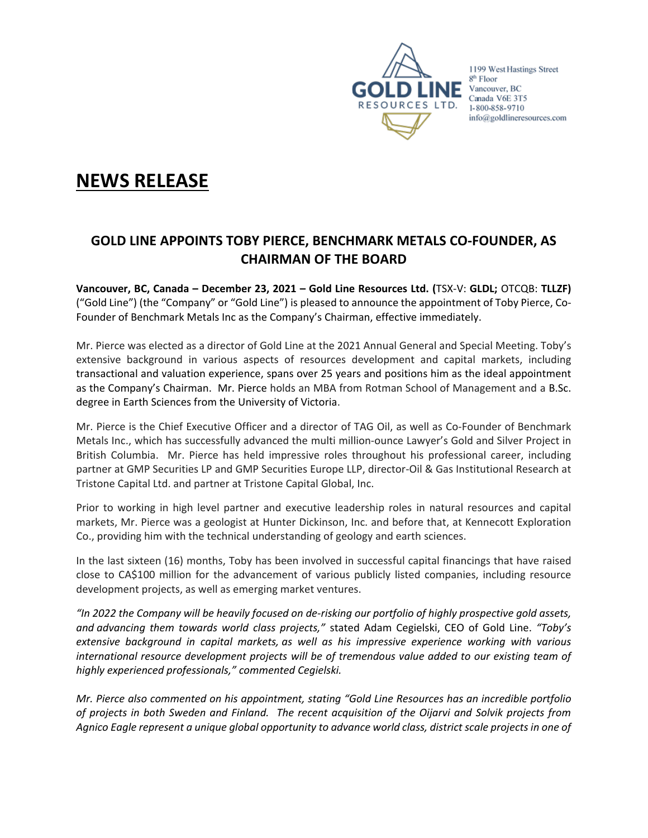

1199 West Hastings Street 8<sup>th</sup> Floor Vancouver, BC Canada V6E 3T5 1-800-858-9710 info@goldlineresources.com

# **NEWS RELEASE**

## **GOLD LINE APPOINTS TOBY PIERCE, BENCHMARK METALS CO-FOUNDER, AS CHAIRMAN OF THE BOARD**

**Vancouver, BC, Canada – December 23, 2021 – Gold Line Resources Ltd. (**TSX-V: **GLDL;** OTCQB: **TLLZF)** ("Gold Line") (the "Company" or "Gold Line") is pleased to announce the appointment of Toby Pierce, Co-Founder of Benchmark Metals Inc as the Company's Chairman, effective immediately.

Mr. Pierce was elected as a director of Gold Line at the 2021 Annual General and Special Meeting. Toby's extensive background in various aspects of resources development and capital markets, including transactional and valuation experience, spans over 25 years and positions him as the ideal appointment as the Company's Chairman. Mr. Pierce holds an MBA from Rotman School of Management and a B.Sc. degree in Earth Sciences from the University of Victoria.

Mr. Pierce is the Chief Executive Officer and a director of TAG Oil, as well as Co-Founder of Benchmark Metals Inc., which has successfully advanced the multi million-ounce Lawyer's Gold and Silver Project in British Columbia. Mr. Pierce has held impressive roles throughout his professional career, including partner at GMP Securities LP and GMP Securities Europe LLP, director-Oil & Gas Institutional Research at Tristone Capital Ltd. and partner at Tristone Capital Global, Inc.

Prior to working in high level partner and executive leadership roles in natural resources and capital markets, Mr. Pierce was a geologist at Hunter Dickinson, Inc. and before that, at Kennecott Exploration Co., providing him with the technical understanding of geology and earth sciences.

In the last sixteen (16) months, Toby has been involved in successful capital financings that have raised close to CA\$100 million for the advancement of various publicly listed companies, including resource development projects, as well as emerging market ventures.

*"In 2022 the Company will be heavily focused on de-risking our portfolio of highly prospective gold assets, and advancing them towards world class projects,"* stated Adam Cegielski, CEO of Gold Line. *"Toby's extensive background in capital markets, as well as his impressive experience working with various international resource development projects will be of tremendous value added to our existing team of highly experienced professionals," commented Cegielski.*

*Mr. Pierce also commented on his appointment, stating "Gold Line Resources has an incredible portfolio of projects in both Sweden and Finland. The recent acquisition of the Oijarvi and Solvik projects from Agnico Eagle represent a unique global opportunity to advance world class, district scale projects in one of*